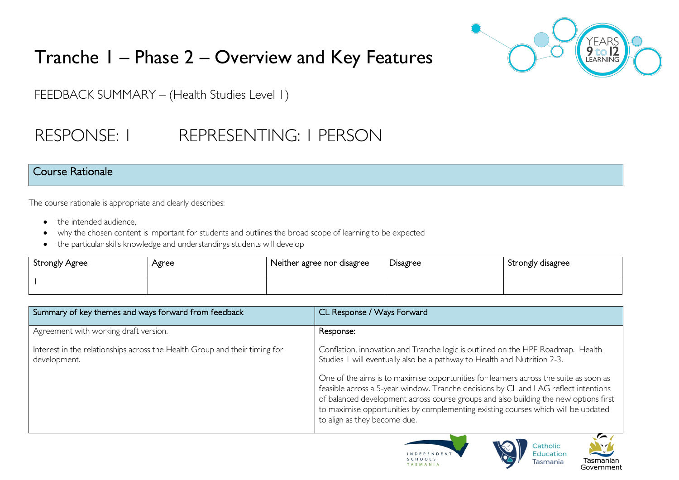

# Tranche 1 – Phase 2 – Overview and Key Features

FEEDBACK SUMMARY – (Health Studies Level 1)

# RESPONSE: 1 REPRESENTING: 1 PERSON

#### Course Rationale

The course rationale is appropriate and clearly describes:

- the intended audience.
- why the chosen content is important for students and outlines the broad scope of learning to be expected
- the particular skills knowledge and understandings students will develop

| Strongly Agree | Agree | Neither agree nor disagree | <b>Disagree</b> | Strongly disagree |
|----------------|-------|----------------------------|-----------------|-------------------|
|                |       |                            |                 |                   |

| Summary of key themes and ways forward from feedback                                       | CL Response / Ways Forward                                                                                                                                                                                                                                                                                                                  |
|--------------------------------------------------------------------------------------------|---------------------------------------------------------------------------------------------------------------------------------------------------------------------------------------------------------------------------------------------------------------------------------------------------------------------------------------------|
| Agreement with working draft version.                                                      | Response:                                                                                                                                                                                                                                                                                                                                   |
| Interest in the relationships across the Health Group and their timing for<br>development. | Conflation, innovation and Tranche logic is outlined on the HPE Roadmap. Health<br>Studies I will eventually also be a pathway to Health and Nutrition 2-3.<br>One of the aims is to maximise opportunities for learners across the suite as soon as<br>feasible across a 5-year window. Tranche decisions by CL and LAG reflect intentions |
|                                                                                            | of balanced development across course groups and also building the new options first<br>to maximise opportunities by complementing existing courses which will be updated<br>to align as they become due.                                                                                                                                   |





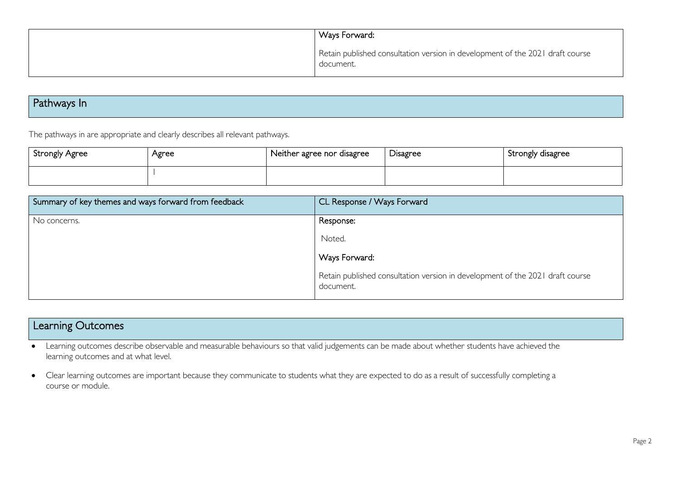| Ways Forward:                                                                              |
|--------------------------------------------------------------------------------------------|
| Retain published consultation version in development of the 2021 draft course<br>document. |

## Pathways In

The pathways in are appropriate and clearly describes all relevant pathways.

| Strongly Agree | Agree | Neither agree nor disagree | Disagree | Strongly disagree |
|----------------|-------|----------------------------|----------|-------------------|
|                |       |                            |          |                   |

| Summary of key themes and ways forward from feedback | CL Response / Ways Forward                                                                 |
|------------------------------------------------------|--------------------------------------------------------------------------------------------|
| No concerns.                                         | Response:                                                                                  |
|                                                      | Noted.                                                                                     |
|                                                      | Ways Forward:                                                                              |
|                                                      | Retain published consultation version in development of the 2021 draft course<br>document. |

## Learning Outcomes

- Learning outcomes describe observable and measurable behaviours so that valid judgements can be made about whether students have achieved the learning outcomes and at what level.
- Clear learning outcomes are important because they communicate to students what they are expected to do as a result of successfully completing a course or module.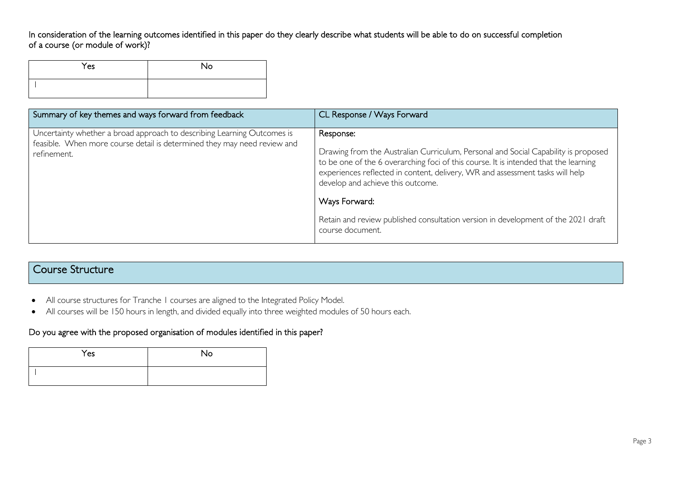In consideration of the learning outcomes identified in this paper do they clearly describe what students will be able to do on successful completion of a course (or module of work)?

| Yes | No |
|-----|----|
|     |    |

| Summary of key themes and ways forward from feedback                                                                                                               | CL Response / Ways Forward                                                                                                                                                                                                                                                                                    |
|--------------------------------------------------------------------------------------------------------------------------------------------------------------------|---------------------------------------------------------------------------------------------------------------------------------------------------------------------------------------------------------------------------------------------------------------------------------------------------------------|
| Uncertainty whether a broad approach to describing Learning Outcomes is<br>feasible. When more course detail is determined they may need review and<br>refinement. | Response:<br>Drawing from the Australian Curriculum, Personal and Social Capability is proposed<br>to be one of the 6 overarching foci of this course. It is intended that the learning<br>experiences reflected in content, delivery, WR and assessment tasks will help<br>develop and achieve this outcome. |
|                                                                                                                                                                    | Ways Forward:                                                                                                                                                                                                                                                                                                 |
|                                                                                                                                                                    | Retain and review published consultation version in development of the 2021 draft<br>course document.                                                                                                                                                                                                         |

### Course Structure

- All course structures for Tranche 1 courses are aligned to the Integrated Policy Model.
- All courses will be 150 hours in length, and divided equally into three weighted modules of 50 hours each.

#### Do you agree with the proposed organisation of modules identified in this paper?

| Yes | No |
|-----|----|
|     |    |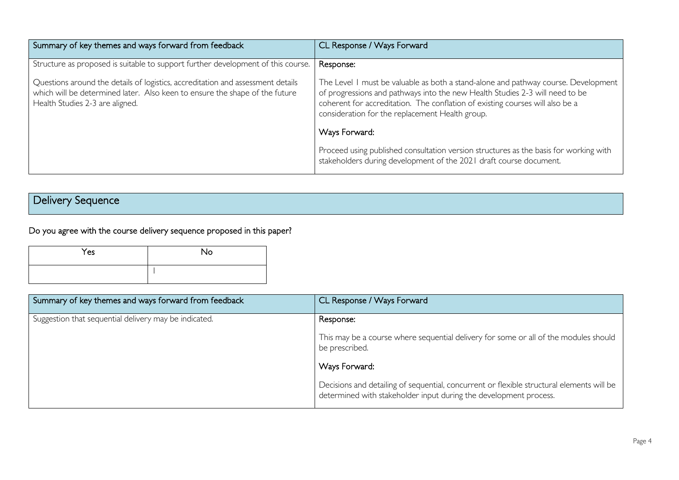| Summary of key themes and ways forward from feedback                                                                                                                                              | CL Response / Ways Forward                                                                                                                                                                                                                                                                             |
|---------------------------------------------------------------------------------------------------------------------------------------------------------------------------------------------------|--------------------------------------------------------------------------------------------------------------------------------------------------------------------------------------------------------------------------------------------------------------------------------------------------------|
| Structure as proposed is suitable to support further development of this course.                                                                                                                  | Response:                                                                                                                                                                                                                                                                                              |
| Questions around the details of logistics, accreditation and assessment details<br>which will be determined later. Also keen to ensure the shape of the future<br>Health Studies 2-3 are aligned. | The Level 1 must be valuable as both a stand-alone and pathway course. Development<br>of progressions and pathways into the new Health Studies 2-3 will need to be<br>coherent for accreditation. The conflation of existing courses will also be a<br>consideration for the replacement Health group. |
|                                                                                                                                                                                                   | Ways Forward:                                                                                                                                                                                                                                                                                          |
|                                                                                                                                                                                                   | Proceed using published consultation version structures as the basis for working with<br>stakeholders during development of the 2021 draft course document.                                                                                                                                            |

## Delivery Sequence

Do you agree with the course delivery sequence proposed in this paper?

| Yes | No |
|-----|----|
|     |    |

| Summary of key themes and ways forward from feedback  | CL Response / Ways Forward                                                                                                                                     |
|-------------------------------------------------------|----------------------------------------------------------------------------------------------------------------------------------------------------------------|
| Suggestion that sequential delivery may be indicated. | Response:                                                                                                                                                      |
|                                                       | This may be a course where sequential delivery for some or all of the modules should<br>be prescribed.                                                         |
|                                                       | Ways Forward:                                                                                                                                                  |
|                                                       | Decisions and detailing of sequential, concurrent or flexible structural elements will be<br>determined with stakeholder input during the development process. |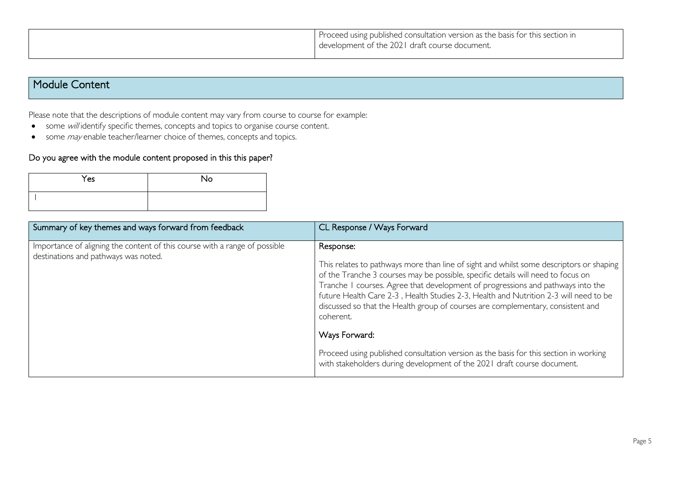| Proceed using published consultation version as the basis for this section in<br>development of the 2021 draft course document. |
|---------------------------------------------------------------------------------------------------------------------------------|
|                                                                                                                                 |

### Module Content

Please note that the descriptions of module content may vary from course to course for example:

- some will identify specific themes, concepts and topics to organise course content.
- some *may* enable teacher/learner choice of themes, concepts and topics.

#### Do you agree with the module content proposed in this this paper?

| Yes | <b>No</b> |
|-----|-----------|
|     |           |

| Summary of key themes and ways forward from feedback                                                               | CL Response / Ways Forward                                                                                                                                                                                                                                                                                                                                                                                                                                          |
|--------------------------------------------------------------------------------------------------------------------|---------------------------------------------------------------------------------------------------------------------------------------------------------------------------------------------------------------------------------------------------------------------------------------------------------------------------------------------------------------------------------------------------------------------------------------------------------------------|
| Importance of aligning the content of this course with a range of possible<br>destinations and pathways was noted. | Response:<br>This relates to pathways more than line of sight and whilst some descriptors or shaping<br>of the Tranche 3 courses may be possible, specific details will need to focus on<br>Tranche I courses. Agree that development of progressions and pathways into the<br>future Health Care 2-3, Health Studies 2-3, Health and Nutrition 2-3 will need to be<br>discussed so that the Health group of courses are complementary, consistent and<br>coherent. |
|                                                                                                                    | Ways Forward:<br>Proceed using published consultation version as the basis for this section in working<br>with stakeholders during development of the 2021 draft course document.                                                                                                                                                                                                                                                                                   |